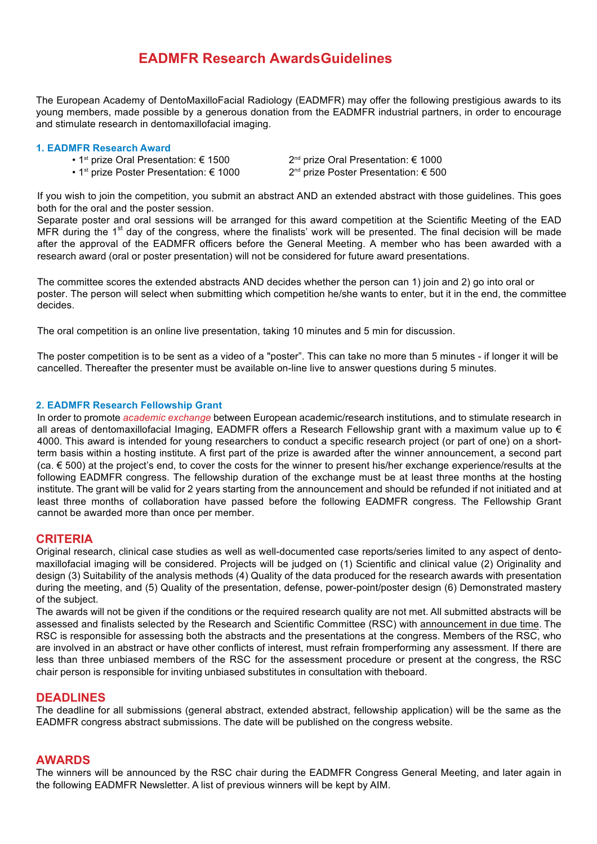# **EADMFR Research AwardsGuidelines**

The European Academy of DentoMaxilloFacial Radiology (EADMFR) may offer the following prestigious awards to its young members, made possible by a generous donation from the EADMFR industrial partners, in order to encourage and stimulate research in dentomaxillofacial imaging.

#### **1. EADMFR Research Award**

- 1<sup>st</sup> prize Oral Presentation:  $\epsilon$  1500 2<sup>nd</sup> prize Oral Presentation:  $\epsilon$  1000
	-
	-
- 1st prize Poster Presentation: € 1000 2nd prize Poster Presentation: € 500

If you wish to join the competition, you submit an abstract AND an extended abstract with those guidelines. This goes both for the oral and the poster session.

Separate poster and oral sessions will be arranged for this award competition at the Scientific Meeting of the EAD MFR during the  $1<sup>st</sup>$  day of the congress, where the finalists' work will be presented. The final decision will be made after the approval of the EADMFR officers before the General Meeting. A member who has been awarded with a research award (oral or poster presentation) will not be considered for future award presentations.

The committee scores the extended abstracts AND decides whether the person can 1) join and 2) go into oral or poster. The person will select when submitting which competition he/she wants to enter, but it in the end, the committee decides.

The oral competition is an online live presentation, taking 10 minutes and 5 min for discussion.

The poster competition is to be sent as a video of a "poster". This can take no more than 5 minutes - if longer it will be cancelled. Thereafter the presenter must be available on-line live to answer questions during 5 minutes.

### **2. EADMFR Research Fellowship Grant**

In order to promote *academic exchange* between European academic/research institutions, and to stimulate research in all areas of dentomaxillofacial Imaging, EADMFR offers a Research Fellowship grant with a maximum value up to € 4000. This award is intended for young researchers to conduct a specific research project (or part of one) on a shortterm basis within a hosting institute. A first part of the prize is awarded after the winner announcement, a second part (ca. € 500) at the project's end, to cover the costs for the winner to present his/her exchange experience/results at the following EADMFR congress. The fellowship duration of the exchange must be at least three months at the hosting institute. The grant will be valid for 2 years starting from the announcement and should be refunded if not initiated and at least three months of collaboration have passed before the following EADMFR congress. The Fellowship Grant cannot be awarded more than once per member.

# **CRITERIA**

Original research, clinical case studies as well as well-documented case reports/series limited to any aspect of dentomaxillofacial imaging will be considered. Projects will be judged on (1) Scientific and clinical value (2) Originality and design (3) Suitability of the analysis methods (4) Quality of the data produced for the research awards with presentation during the meeting, and (5) Quality of the presentation, defense, power-point/poster design (6) Demonstrated mastery of the subject.

The awards will not be given if the conditions or the required research quality are not met. All submitted abstracts will be assessed and finalists selected by the Research and Scientific Committee (RSC) with announcement in due time. The RSC is responsible for assessing both the abstracts and the presentations at the congress. Members of the RSC, who are involved in an abstract or have other conflicts of interest, must refrain fromperforming any assessment. If there are less than three unbiased members of the RSC for the assessment procedure or present at the congress, the RSC chair person is responsible for inviting unbiased substitutes in consultation with theboard.

# **DEADLINES**

The deadline for all submissions (general abstract, extended abstract, fellowship application) will be the same as the EADMFR congress abstract submissions. The date will be published on the congress website.

# **AWARDS**

The winners will be announced by the RSC chair during the EADMFR Congress General Meeting, and later again in the following EADMFR Newsletter. A list of previous winners will be kept by AIM.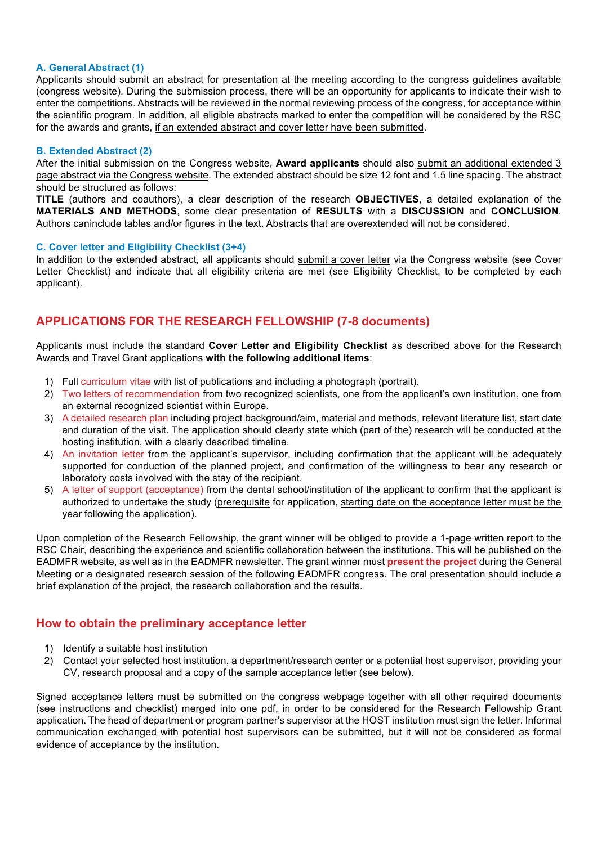### **A. General Abstract (1)**

Applicants should submit an abstract for presentation at the meeting according to the congress guidelines available (congress website). During the submission process, there will be an opportunity for applicants to indicate their wish to enter the competitions. Abstracts will be reviewed in the normal reviewing process of the congress, for acceptance within the scientific program. In addition, all eligible abstracts marked to enter the competition will be considered by the RSC for the awards and grants, if an extended abstract and cover letter have been submitted.

#### **B. Extended Abstract (2)**

After the initial submission on the Congress website, **Award applicants** should also submit an additional extended 3 page abstract via the Congress website. The extended abstract should be size 12 font and 1.5 line spacing. The abstract should be structured as follows:

**TITLE** (authors and coauthors), a clear description of the research **OBJECTIVES**, a detailed explanation of the **MATERIALS AND METHODS**, some clear presentation of **RESULTS** with a **DISCUSSION** and **CONCLUSION**. Authors caninclude tables and/or figures in the text. Abstracts that are overextended will not be considered.

#### **C. Cover letter and Eligibility Checklist (3+4)**

In addition to the extended abstract, all applicants should submit a cover letter via the Congress website (see Cover Letter Checklist) and indicate that all eligibility criteria are met (see Eligibility Checklist, to be completed by each applicant).

# **APPLICATIONS FOR THE RESEARCH FELLOWSHIP (7-8 documents)**

Applicants must include the standard **Cover Letter and Eligibility Checklist** as described above for the Research Awards and Travel Grant applications **with the following additional items**:

- 1) Full curriculum vitae with list of publications and including a photograph (portrait).
- 2) Two letters of recommendation from two recognized scientists, one from the applicant's own institution, one from an external recognized scientist within Europe.
- 3) A detailed research plan including project background/aim, material and methods, relevant literature list, start date and duration of the visit. The application should clearly state which (part of the) research will be conducted at the hosting institution, with a clearly described timeline.
- 4) An invitation letter from the applicant's supervisor, including confirmation that the applicant will be adequately supported for conduction of the planned project, and confirmation of the willingness to bear any research or laboratory costs involved with the stay of the recipient.
- 5) A letter of support (acceptance) from the dental school/institution of the applicant to confirm that the applicant is authorized to undertake the study (prerequisite for application, starting date on the acceptance letter must be the year following the application).

Upon completion of the Research Fellowship, the grant winner will be obliged to provide a 1-page written report to the RSC Chair, describing the experience and scientific collaboration between the institutions. This will be published on the EADMFR website, as well as in the EADMFR newsletter. The grant winner must **present the project** during the General Meeting or a designated research session of the following EADMFR congress. The oral presentation should include a brief explanation of the project, the research collaboration and the results.

# **How to obtain the preliminary acceptance letter**

- 1) Identify a suitable host institution
- 2) Contact your selected host institution, a department/research center or a potential host supervisor, providing your CV, research proposal and a copy of the sample acceptance letter (see below).

Signed acceptance letters must be submitted on the congress webpage together with all other required documents (see instructions and checklist) merged into one pdf, in order to be considered for the Research Fellowship Grant application. The head of department or program partner's supervisor at the HOST institution must sign the letter. Informal communication exchanged with potential host supervisors can be submitted, but it will not be considered as formal evidence of acceptance by the institution.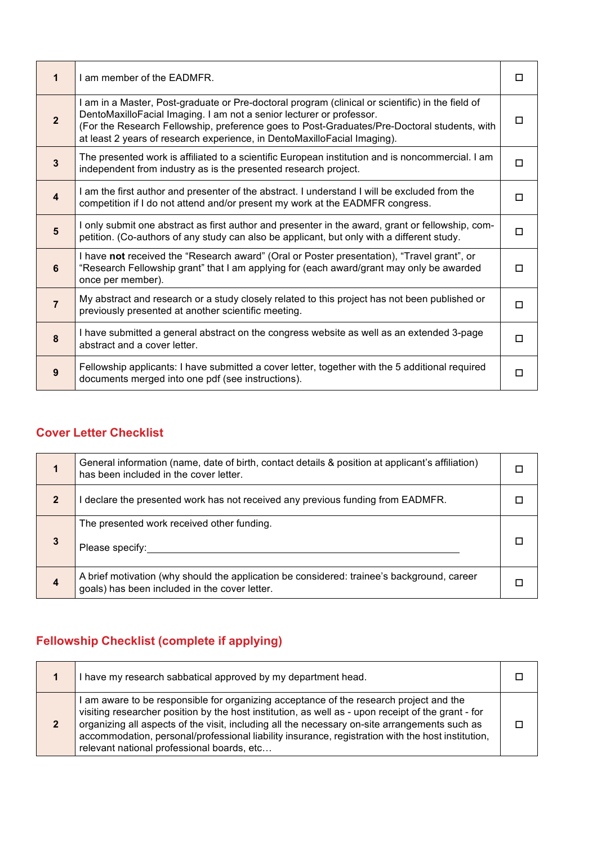| 1                       | I am member of the EADMFR.                                                                                                                                                                                                                                                                                                                          | П      |
|-------------------------|-----------------------------------------------------------------------------------------------------------------------------------------------------------------------------------------------------------------------------------------------------------------------------------------------------------------------------------------------------|--------|
| $\overline{2}$          | I am in a Master, Post-graduate or Pre-doctoral program (clinical or scientific) in the field of<br>DentoMaxilloFacial Imaging. I am not a senior lecturer or professor.<br>(For the Research Fellowship, preference goes to Post-Graduates/Pre-Doctoral students, with<br>at least 2 years of research experience, in DentoMaxilloFacial Imaging). | п      |
| $\overline{3}$          | The presented work is affiliated to a scientific European institution and is noncommercial. I am<br>independent from industry as is the presented research project.                                                                                                                                                                                 | □      |
| $\overline{\mathbf{4}}$ | I am the first author and presenter of the abstract. I understand I will be excluded from the<br>competition if I do not attend and/or present my work at the EADMFR congress.                                                                                                                                                                      | п      |
| $5\phantom{1}$          | I only submit one abstract as first author and presenter in the award, grant or fellowship, com-<br>petition. (Co-authors of any study can also be applicant, but only with a different study.                                                                                                                                                      | $\Box$ |
| $6\phantom{1}$          | I have not received the "Research award" (Oral or Poster presentation), "Travel grant", or<br>"Research Fellowship grant" that I am applying for (each award/grant may only be awarded<br>once per member).                                                                                                                                         | п      |
| $\overline{7}$          | My abstract and research or a study closely related to this project has not been published or<br>previously presented at another scientific meeting.                                                                                                                                                                                                | □      |
| 8                       | I have submitted a general abstract on the congress website as well as an extended 3-page<br>abstract and a cover letter.                                                                                                                                                                                                                           | □      |
| 9                       | Fellowship applicants: I have submitted a cover letter, together with the 5 additional required<br>documents merged into one pdf (see instructions).                                                                                                                                                                                                | П      |

# **Cover Letter Checklist**

|                  | General information (name, date of birth, contact details & position at applicant's affiliation)<br>has been included in the cover letter.  |  |
|------------------|---------------------------------------------------------------------------------------------------------------------------------------------|--|
| $\overline{2}$   | declare the presented work has not received any previous funding from EADMFR.                                                               |  |
| 3                | The presented work received other funding.<br>Please specify:                                                                               |  |
| $\boldsymbol{4}$ | A brief motivation (why should the application be considered: trainee's background, career<br>goals) has been included in the cover letter. |  |

# **Fellowship Checklist (complete if applying)**

| I have my research sabbatical approved by my department head.                                                                                                                                                                                                                                                                                                                                                                                    |  |
|--------------------------------------------------------------------------------------------------------------------------------------------------------------------------------------------------------------------------------------------------------------------------------------------------------------------------------------------------------------------------------------------------------------------------------------------------|--|
| I am aware to be responsible for organizing acceptance of the research project and the<br>visiting researcher position by the host institution, as well as - upon receipt of the grant - for<br>organizing all aspects of the visit, including all the necessary on-site arrangements such as<br>accommodation, personal/professional liability insurance, registration with the host institution,<br>relevant national professional boards, etc |  |